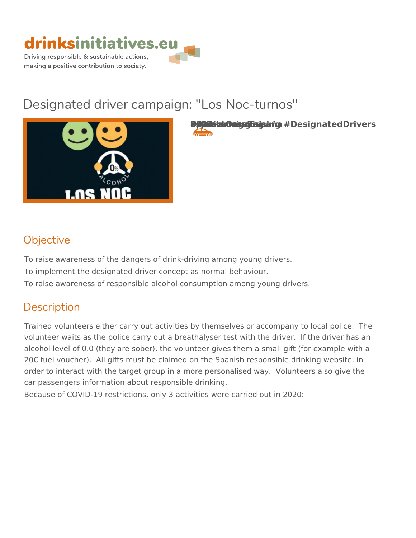

# Designated driver campaign: "Los Noc-tur



**Brink-mider-driving Espiritus Espiritus Espiritus Espiritus Espiritus Espiritus Espiritus Espiritus Espiritus E**  $\sqrt{2}$ 

# Objective

To raise awareness of the dangers of drink-driving among young drivers. To implement the designated driver concept as normal behaviour. To raise awareness of responsible alcohol consumption among young drive

# Description

Trained volunteers either carry out activities by themselves or accompany volunteer waits as the police carry out a breathalyser test with the driver. alcohol level of 0.0 (they are sober), the volunteer gives them a small gift 20 - fuel voucher). All gifts must be claimed on the Spanish responsible d order to interact with the target group in a more personalised way. Volunt car passengers information about responsible drinking.

Because of COVID-19 restrictions, only 3 activities were carried out in 202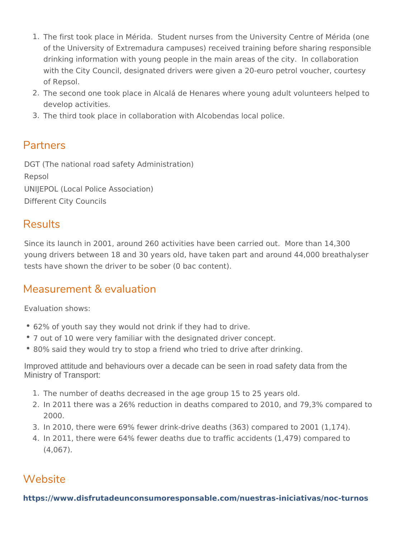- 1. The first took place in Mérida. Student nurses from the University Cer of the University of Extremadura campuses) received training before sh drinking information with young people in the main areas of the city. I with the City Council, designated drivers were given a 20-euro petrol v of Repsol.
- 2. The second one took place in Alcalá de Henares where young adult vol develop activities.
- 3.The third took place in collaboration with Alcobendas local police.

## Partners

DGT (The national road safety Administration) Repsol UNIJEPOL (Local Police Association) Different City Councils

## Results

Since its launch in 2001, around 260 activities have been carried out. Mo young drivers between 18 and 30 years old, have taken part and around 44 tests have shown the driver to be sober (0 bac content).

## Measurement & evaluation

Evaluation shows:

- 62% of youth say they would not drink if they had to drive.
- 7 out of 10 were very familiar with the designated driver concept.
- 80% said they would try to stop a friend who tried to drive after drinking.

Improved attitude and behaviours over a decade can be seen in road safety data from the Ministry of Transport:

- 1.The number of deaths decreased in the age group 15 to 25 years old.
- 2. In 2011 there was a 26% reduction in deaths compared to 2010, and 79 2000.
- 3. In 2010, there were 69% fewer drink-drive deaths (363) compared to 20
- 4.In 2011, there were 64% fewer deaths due to traffic accidents (1,479) (4,067).

## Website

[https://www.disfrutadeunconsumoresponsable.com/nuestras-iniciat](https://www.disfrutadeunconsumoresponsable.com/nuestras-iniciativas/noc-turnos)ivas/noc-